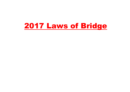# 2017 Laws of Bridge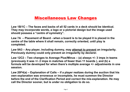### Miscellaneous Law Changes

**Law 1B/1C – The faces and backs of all 52 cards in a deck should be identical. They may incorporate words, a logo or a pictorial design but the image used should possess a "centre of symmetry".** 

**Law 7A – Placement of Board - when a board is to be played it is placed in the centre of the table where it shall remain, correctly oriented, until play is completed.**

**Law 9A3 – Any player, including dummy, may attempt to prevent an irregularity. Previously dummy could only prevent an irregularity by declarer.** 

**Law 12C2 – Two changes to Average Plus/Minus – (a) always +/- 3 imps in teams (previously it was +/- 2 imps in matches of fewer than 11 boards ), and (b) a formula will be developed for when there's multiple average +/- adjustments in one session.**

**Law 20F4(a) – Explanation of Calls – if a player realizes during the auction that his own explanation was erroneous or incomplete, he must summon the Director before the end of the Clarification Period and correct the mis-explanation. He may call the Director sooner, but is under no obligation to do so.**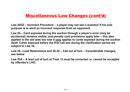### Miscellaneous Law Changes (cont'd)

**Law 20G2 – Incorrect Procedure – a player may not ask a question if his sole purpose is to elicit an incorrect response from an opponent.** 

**Law 24 – Card exposed during the auction through a player's error (may be accidental) remains visible, and penalty card provisions apply later – this also applied in the old laws but now it only applies to cards exposed during the auction itself. Cards exposed before the first call and during the clarification period are subject to Law 16.**

**Law 26 –Lead Restrictions and 30-32 – Call out of turn – Considerable changes, see below**

**Law 53A – A lead out of turn at Trick 13 must be corrected i.e. cannot be accepted by offender's LHO.**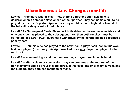## Miscellaneous Law Changes (cont'd)

**Law 57 – Premature lead or play – now there's a further option available to declarer when a defender plays ahead of their partner. They can name a suit to be played by offender's partner (previously they could demand highest or lowest of the led suit or deny a suit of their choice).**

**Law 62C3 – Subsequent Cards Played – if both sides revoke on the same trick and only one side has played to the subsequent trick, then both revokes must be corrected (see Law 16C2). Every card withdrawn by the defending side becomes a penalty card.**

**Law 66D – Until his side has played to the next trick, a player can inspect his own last card played (previously this right was lost once any player had played to the next trick).**

**Law 68B – when making a claim or concession, a player must face his hand.**

**Law 68D – after a claim or concession, play can continue at the request of the non-claimants and if all four players agree. In this case, the prior claim is void, and the subsequently obtained result must stand.**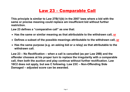## Law 23 – Comparable Call

**This principle is similar to Law 27B(1)(b) in the 2007 laws where a bid with the same or precise meaning could replace am insufficient bid without further restriction.**

**Law 23 defines a "comparative call" as one that:**

- **Has the same or similar meaning as that attributable to the withdrawn call, or**
- **Defines a subset of the possible meanings attributable to the withdrawn call, or**
- **Has the same purpose (e.g. an asking bid or a relay) as that attributable to the withdrawn call.**

**Law 23 – No Rectification – when a call is cancelled (as per Law 29B) and the offender chooses at his proper turn to replace the irregularity with a comparable call, then both the auction and play continue without further rectification. Law 16C2 does not apply, but see C following. Law 23C – Non-Offending Side Damaged – adjusted score can be awarded.**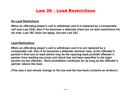### Law 26 – Lead Restrictions

#### **No Lead Restrictions**

**When an offending player's call is withdrawn and it is replaced by a comparable call (see Law 23A), then if he becomes a defender there are no lead restrictions for his side. Law 16C does not apply, but see Law 23C.**

#### **Lead Restrictions**

**When an offending player's call is withdrawn and it is not replaced by a comparable call, then if he becomes a defender declarer may, at the offender's partner's first turn to lead (which may be the opening lead) prohibit offender's partner from leading any (one) suit which has not been specified in the legal auction by the offender. Such prohibition continues for as long as the offender's partner retains the lead.**

**(This was a last minute change to the law and the law book contains an erratum.)**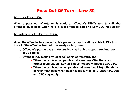## Pass Out Of Turn – Law 30

### **At RHO's Turn to Call**

**When a pass out of rotation is made at offender's RHO's turn to call, the offender must pass when next it is his turn to call and Law 72C may apply.**

#### **At Partner's or LHO's Turn to Call**

**When the offender has passed at his partner's turn to call, or at his LHO's turn to call if the offender has not previously called, then:**

- o **Offender's partner may make any legal call at his proper turn, but Law 16C2 applies**
- o **Offender may make any legal call at his correct turn and:**
	- **When the call is a comparable call (see Law 23A), there is no further rectification. Law 26B does not apply, but see Law 23C.**
	- **When the call is not a comparable call (see Law 23A), offender's partner must pass when next it is his turn to call. Laws 16C, 26B and 72C may apply.**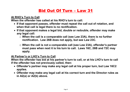# Bid Out Of Turn – Law 31

### **At RHO's Turn to Call**

**When the offender has called at his RHO's turn to call:**

- **If that opponent passes, offender must repeat the call out of rotation, and when that call is legal there is no rectification.**
- **If that opponent makes a legal bid, double or redouble, offender may make any legal call:** 
	- o **When the call is a comparable call (see Law 23A), there is no further rectification. Law 26B does not apply, but see Law 23C.**
	- o **When the call is not a comparable call (see Law 23A), offender's partner must pass when next it is his turn to call. Laws 16C, 26B and 72C may apply.**

### **At Partner's or LHO's Turn to Call**

**When the offender has bid at his partner's turn to call, or at his LHO's turn to call if the offender has not previously called, then:**

- **Offender's partner may make any legal call at his proper turn, but Law 16C2 applies.**
- **Offender may make any legal call at his correct turn and the Director rules as in A2(a) or A2(b) above.**